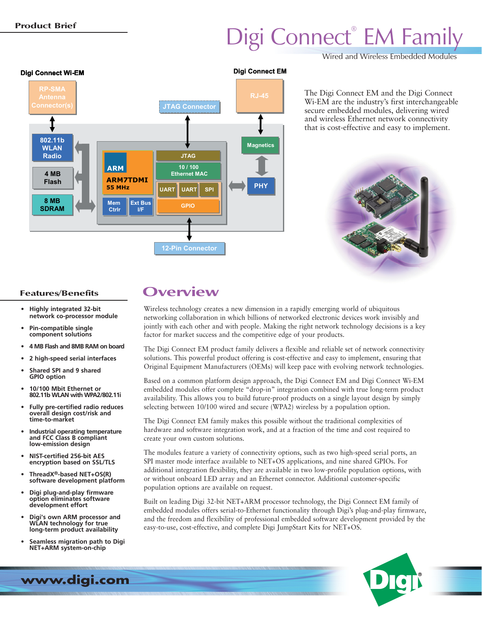# Digi Connect® EM Family

Wired and Wireless Embedded Modules



The Digi Connect EM and the Digi Connect Wi-EM are the industry's first interchangeable secure embedded modules, delivering wired and wireless Ethernet network connectivity that is cost-effective and easy to implement.



- **Highly integrated 32-bit network co-processor module**
- **Pin-compatible single component solutions**
- **4 MB Flash and 8MB RAM on board**
- **2 high-speed serial interfaces**
- **Shared SPI and 9 shared GPIO option**
- **10/100 Mbit Ethernet or 802.11b WLAN with WPA2/802.11i**
- **Fully pre-certified radio reduces overall design cost/risk and time-to-market**
- **Industrial operating temperature and FCC Class B compliant low-emission design**
- **NIST-certified 256-bit AES encryption based on SSL/TLS**
- **ThreadX®-based NET+OS(R) software development platform**
- **Digi plug-and-play firmware option eliminates software development effort**
- **Digi's own ARM processor and WLAN technology for true long-term product availability**
- **Seamless migration path to Digi NET+ARM system-on-chip**

**Features/Benefits Overview**

Wireless technology creates a new dimension in a rapidly emerging world of ubiquitous networking collaboration in which billions of networked electronic devices work invisibly and jointly with each other and with people. Making the right network technology decisions is a key factor for market success and the competitive edge of your products.

The Digi Connect EM product family delivers a flexible and reliable set of network connectivity solutions. This powerful product offering is cost-effective and easy to implement, ensuring that Original Equipment Manufacturers (OEMs) will keep pace with evolving network technologies.

Based on a common platform design approach, the Digi Connect EM and Digi Connect Wi-EM embedded modules offer complete "drop-in" integration combined with true long-term product availability. This allows you to build future-proof products on a single layout design by simply selecting between 10/100 wired and secure (WPA2) wireless by a population option.

The Digi Connect EM family makes this possible without the traditional complexities of hardware and software integration work, and at a fraction of the time and cost required to create your own custom solutions.

The modules feature a variety of connectivity options, such as two high-speed serial ports, an SPI master mode interface available to NET+OS applications, and nine shared GPIOs. For additional integration flexibility, they are available in two low-profile population options, with or without onboard LED array and an Ethernet connector. Additional customer-specific population options are available on request.

Built on leading Digi 32-bit NET+ARM processor technology, the Digi Connect EM family of embedded modules offers serial-to-Ethernet functionality through Digi's plug-and-play firmware, and the freedom and flexibility of professional embedded software development provided by the easy-to-use, cost-effective, and complete Digi JumpStart Kits for NET+OS.



**www.digi.com**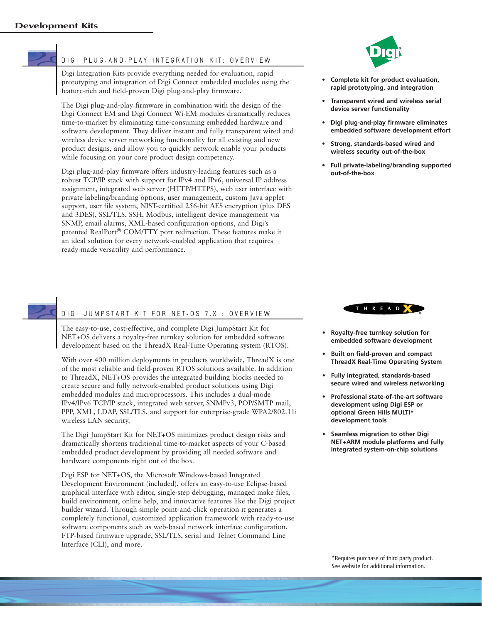

### DIGI PLUG-AND-PLAY INTEGRATION KIT: OVERVIEW

Digi Integration Kits provide everything needed for evaluation, rapid prototyping and integration of Digi Connect embedded modules using the feature-rich and field-proven Digi plug-and-play firmware.

The Digi plug-and-play firmware in combination with the design of the Digi Connect EM and Digi Connect Wi-EM modules dramatically reduces time-to-market by eliminating time-consuming embedded hardware and software development. They deliver instant and fully transparent wired and wireless device server networking functionality for all existing and new product designs, and allow you to quickly network enable your products while focusing on your core product design competency.

Digi plug-and-play firmware offers industry-leading features such as a robust TCP/IP stack with support for IPv4 and IPv6, universal IP address assignment, integrated web server (HTTP/HTTPS), web user interface with private labeling/branding options, user management, custom Java applet support, user file system, NIST-certified 256-bit AES encryption (plus DES and 3DES), SSL/TLS, SSH, Modbus, intelligent device management via SNMP, email alarms, XML-based configuration options, and Digi's patented RealPort® COM/TTY port redirection. These features make it an ideal solution for every network-enabled application that requires ready-made versatility and performance.

- **Complete kit for product evaluation, rapid prototyping, and integration**
- **Transparent wired and wireless serial device server functionality**
- **Digi plug-and-play firmware eliminates embedded software development effort**
- **Strong, standards-based wired and wireless security out-of-the-box**
- **Full private-labeling/branding supported out-of-the-box**



- **Royalty-free turnkey solution for embedded software development**
- **Built on field-proven and compact ThreadX Real-Time Operating System**
- **Fully integrated, standards-based secure wired and wireless networking**
- **Professional state-of-the-art software development using Digi ESP or optional Green Hills MULTI\* development tools**
- **Seamless migration to other Digi NET+ARM module platforms and fully integrated system-on-chip solutions**

# DIGI JUMPSTART KIT FOR NET+OS 7.X : OVERVIEW

The easy-to-use, cost-effective, and complete Digi JumpStart Kit for NET+OS delivers a royalty-free turnkey solution for embedded software development based on the ThreadX Real-Time Operating system (RTOS).

With over 400 million deployments in products worldwide, ThreadX is one of the most reliable and field-proven RTOS solutions available. In addition to ThreadX, NET+OS provides the integrated building blocks needed to create secure and fully network-enabled product solutions using Digi embedded modules and microprocessors. This includes a dual-mode IPv4/IPv6 TCP/IP stack, integrated web server, SNMPv3, POP/SMTP mail, PPP, XML, LDAP, SSL/TLS, and support for enterprise-grade WPA2/802.11i wireless LAN security.

The Digi JumpStart Kit for NET+OS minimizes product design risks and dramatically shortens traditional time-to-market aspects of your C-based embedded product development by providing all needed software and hardware components right out of the box.

Digi ESP for NET+OS, the Microsoft Windows-based Integrated Development Environment (included), offers an easy-to-use Eclipse-based graphical interface with editor, single-step debugging, managed make files, build environment, online help, and innovative features like the Digi project builder wizard. Through simple point-and-click operation it generates a completely functional, customized application framework with ready-to-use software components such as web-based network interface configuration, FTP-based firmware upgrade, SSL/TLS, serial and Telnet Command Line Interface (CLI), and more.

> \*Requires purchase of third party product. See website for additional information.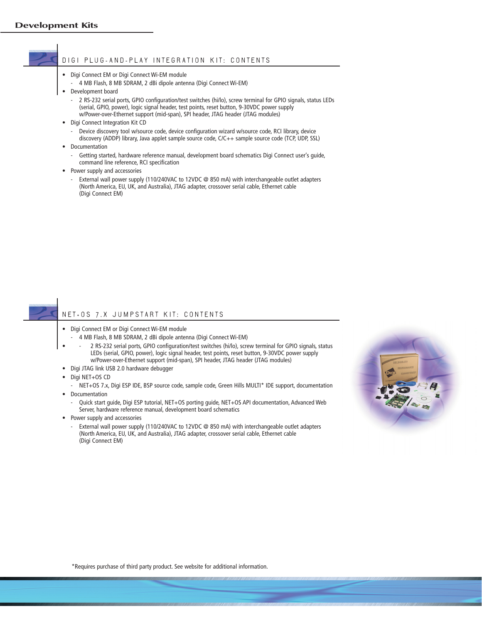### DIGI PLUG-AND-PLAY INTEGRATION KIT: CONTENTS

- Digi Connect EM or Digi Connect Wi-EM module
	- 4 MB Flash, 8 MB SDRAM, 2 dBi dipole antenna (Digi Connect Wi-EM)
- Development board
	- 2 RS-232 serial ports, GPIO configuration/test switches (hi/lo), screw terminal for GPIO signals, status LEDs (serial, GPIO, power), logic signal header, test points, reset button, 9-30VDC power supply w/Power-over-Ethernet support (mid-span), SPI header, JTAG header (JTAG modules)
- Digi Connect Integration Kit CD
	- Device discovery tool w/source code, device configuration wizard w/source code, RCI library, device discovery (ADDP) library, Java applet sample source code, C/C++ sample source code (TCP, UDP, SSL)
- Documentation
	- Getting started, hardware reference manual, development board schematics Digi Connect user's guide, command line reference, RCI specification
- Power supply and accessories
	- External wall power supply (110/240VAC to 12VDC @ 850 mA) with interchangeable outlet adapters (North America, EU, UK, and Australia), JTAG adapter, crossover serial cable, Ethernet cable (Digi Connect EM)

### NET+OS 7.X JUMPSTART KIT: CONTENTS

- Digi Connect EM or Digi Connect Wi-EM module
	- 4 MB Flash, 8 MB SDRAM, 2 dBi dipole antenna (Digi Connect Wi-EM)
	- - 2 RS-232 serial ports, GPIO configuration/test switches (hi/lo), screw terminal for GPIO signals, status LEDs (serial, GPIO, power), logic signal header, test points, reset button, 9-30VDC power supply w/Power-over-Ethernet support (mid-span), SPI header, JTAG header (JTAG modules)
- Digi JTAG link USB 2.0 hardware debugger
- Digi NET+OS CD
- NET+OS 7.x, Digi ESP IDE, BSP source code, sample code, Green Hills MULTI\* IDE support, documentation • Documentation
	- Quick start guide, Digi ESP tutorial, NET+OS porting guide, NET+OS API documentation, Advanced Web Server, hardware reference manual, development board schematics
- Power supply and accessories
	- External wall power supply (110/240VAC to 12VDC @ 850 mA) with interchangeable outlet adapters (North America, EU, UK, and Australia), JTAG adapter, crossover serial cable, Ethernet cable (Digi Connect EM)



\*Requires purchase of third party product. See website for additional information.